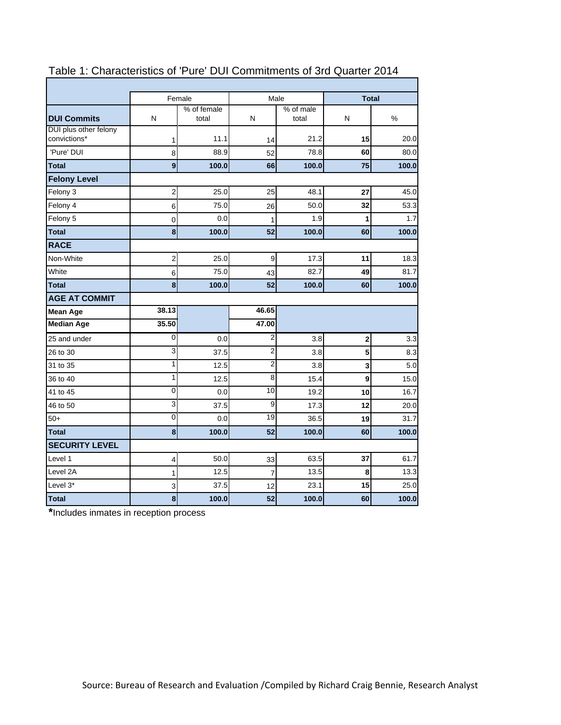|                                       | Female<br>Male |                      |                |                    | <b>Total</b> |       |  |
|---------------------------------------|----------------|----------------------|----------------|--------------------|--------------|-------|--|
| <b>DUI Commits</b>                    | N              | % of female<br>total | N              | % of male<br>total | N            | $\%$  |  |
| DUI plus other felony<br>convictions* | 1              | 11.1                 | 14             | 21.2               | 15           | 20.0  |  |
| 'Pure' DUI                            | 8              | 88.9                 | 52             | 78.8               | 60           | 80.0  |  |
| <b>Total</b>                          | 9              | 100.0                | 66             | 100.0              | 75           | 100.0 |  |
| <b>Felony Level</b>                   |                |                      |                |                    |              |       |  |
| Felony 3                              | 2              | 25.0                 | 25             | 48.1               | 27           | 45.0  |  |
| Felony 4                              | 6              | 75.0                 | 26             | 50.0               | 32           | 53.3  |  |
| Felony 5                              | 0              | 0.0                  | 1              | 1.9                | 1            | 1.7   |  |
| <b>Total</b>                          | 8              | 100.0                | 52             | 100.0              | 60           | 100.0 |  |
| <b>RACE</b>                           |                |                      |                |                    |              |       |  |
| Non-White                             | $\overline{c}$ | 25.0                 | 9              | 17.3               | 11           | 18.3  |  |
| White                                 | 6              | 75.0                 | 43             | 82.7               | 49           | 81.7  |  |
| <b>Total</b>                          | 8              | 100.0                | 52             | 100.0              | 60           | 100.0 |  |
| <b>AGE AT COMMIT</b>                  |                |                      |                |                    |              |       |  |
| <b>Mean Age</b>                       | 38.13          |                      | 46.65          |                    |              |       |  |
| <b>Median Age</b>                     | 35.50          |                      | 47.00          |                    |              |       |  |
| 25 and under                          | 0              | 0.0                  | $\overline{2}$ | 3.8                | 2            | 3.3   |  |
| 26 to 30                              | 3              | 37.5                 | $\overline{2}$ | 3.8                | 5            | 8.3   |  |
| 31 to 35                              | 1              | 12.5                 | $\overline{2}$ | 3.8                | 3            | 5.0   |  |
| 36 to 40                              | 1              | 12.5                 | 8              | 15.4               | 9            | 15.0  |  |
| 41 to 45                              | 0              | 0.0                  | 10             | 19.2               | 10           | 16.7  |  |
| 46 to 50                              | 3              | 37.5                 | 9              | 17.3               | 12           | 20.0  |  |
| $50+$                                 | $\mathbf 0$    | 0.0                  | 19             | 36.5               | 19           | 31.7  |  |
| <b>Total</b>                          | 8              | 100.0                | 52             | 100.0              | 60           | 100.0 |  |
| <b>SECURITY LEVEL</b>                 |                |                      |                |                    |              |       |  |
| Level 1                               | 4              | 50.0                 | 33             | 63.5               | 37           | 61.7  |  |
| Level 2A                              | 1              | 12.5                 | $\overline{7}$ | 13.5               | 8            | 13.3  |  |
| Level 3*                              | 3              | 37.5                 | 12             | 23.1               | 15           | 25.0  |  |
| <b>Total</b>                          | 8              | 100.0                | 52             | 100.0              | 60           | 100.0 |  |

## Table 1: Characteristics of 'Pure' DUI Commitments of 3rd Quarter 2014

**\***Includes inmates in reception process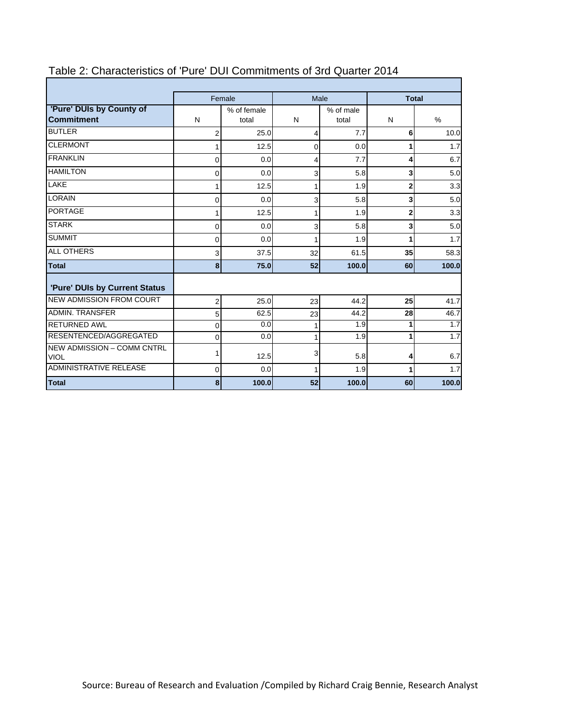|                                                  |                | Female               |              | Male               | <b>Total</b>            |                  |  |
|--------------------------------------------------|----------------|----------------------|--------------|--------------------|-------------------------|------------------|--|
| 'Pure' DUIs by County of<br><b>Commitment</b>    | N              | % of female<br>total | N            | % of male<br>total | N                       | $\%$             |  |
| <b>BUTLER</b>                                    | $\overline{2}$ | 25.0                 | 4            | 7.7                | 6                       | 10.0             |  |
| <b>CLERMONT</b>                                  |                | 12.5                 | $\mathbf{0}$ | 0.0                | 1                       | 1.7              |  |
| <b>FRANKLIN</b>                                  | 0              | 0.0                  | 4            | 7.7                | 4                       | 6.7              |  |
| <b>HAMILTON</b>                                  | 0              | 0.0                  | 3            | 5.8                | 3                       | 5.0              |  |
| LAKE                                             |                | 12.5                 | 1            | 1.9                | 2                       | 3.3              |  |
| <b>LORAIN</b>                                    | 0              | 0.0 <sub>l</sub>     | 3            | 5.8                | $\overline{\mathbf{3}}$ | 5.0              |  |
| <b>PORTAGE</b>                                   |                | 12.5                 | 1            | 1.9                | 2                       | 3.3              |  |
| <b>STARK</b>                                     | 0              | 0.0                  | 3            | 5.8                | 3                       | 5.0              |  |
| <b>SUMMIT</b>                                    | 0              | 0.0                  | 1            | 1.9                | 1                       | 1.7              |  |
| <b>ALL OTHERS</b>                                | 3              | 37.5                 | 32           | 61.5               | 35                      | 58.3             |  |
| <b>Total</b>                                     | 8              | 75.0                 | 52           | 100.0              | 60                      | 100.0            |  |
| 'Pure' DUIs by Current Status                    |                |                      |              |                    |                         |                  |  |
| <b>NEW ADMISSION FROM COURT</b>                  | 2              | 25.0                 | 23           | 44.2               | 25                      | 41.7             |  |
| <b>ADMIN. TRANSFER</b>                           | 5              | 62.5                 | 23           | 44.2               | 28                      | 46.7             |  |
| <b>RETURNED AWL</b>                              | 0              | 0.0                  | 1            | $\overline{1.9}$   | 1                       | $\overline{1.7}$ |  |
| RESENTENCED/AGGREGATED                           | $\Omega$       | 0.0 <sub>l</sub>     | 1            | 1.9                | 1                       | 1.7              |  |
| <b>NEW ADMISSION - COMM CNTRL</b><br><b>VIOL</b> |                | 12.5                 | 3            | 5.8                | 4                       | 6.7              |  |
| <b>ADMINISTRATIVE RELEASE</b>                    | $\mathbf 0$    | 0.0 <sub>l</sub>     | 1            | 1.9                | 1                       | 1.7              |  |
| <b>Total</b>                                     | 8              | 100.0                | 52           | 100.0              | 60                      | 100.0            |  |

## Table 2: Characteristics of 'Pure' DUI Commitments of 3rd Quarter 2014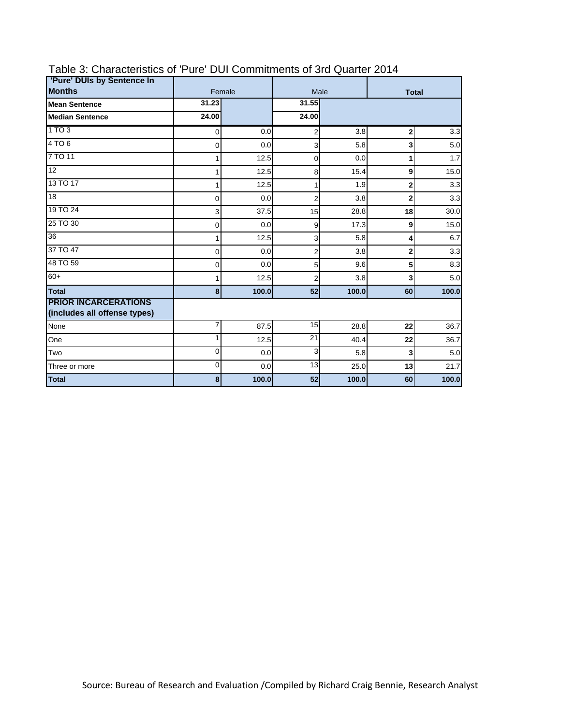| 'Pure' DUIs by Sentence In                                  |          |        |                |              |                |       |
|-------------------------------------------------------------|----------|--------|----------------|--------------|----------------|-------|
| <b>Months</b>                                               |          | Female | Male           | <b>Total</b> |                |       |
| <b>Mean Sentence</b>                                        | 31.23    |        | 31.55          |              |                |       |
| <b>Median Sentence</b>                                      | 24.00    |        | 24.00          |              |                |       |
| 1TO3                                                        | 0        | 0.0    | $\overline{2}$ | 3.8          | $\overline{2}$ | 3.3   |
| 4TO6                                                        | 0        | 0.0    | 3              | 5.8          | 3              | 5.0   |
| 7 TO 11                                                     |          | 12.5   | 0              | 0.0          | 1              | 1.7   |
| $\overline{12}$                                             | 1        | 12.5   | 8              | 15.4         | 9              | 15.0  |
| 13 TO 17                                                    | 1        | 12.5   | 1              | 1.9          | 2              | 3.3   |
| $\overline{18}$                                             | 0        | 0.0    | $\overline{2}$ | 3.8          | 2              | 3.3   |
| 19 TO 24                                                    | 3        | 37.5   | 15             | 28.8         | 18             | 30.0  |
| 25 TO 30                                                    | 0        | 0.0    | 9              | 17.3         | 9              | 15.0  |
| 36                                                          | 1        | 12.5   | 3              | 5.8          | 4              | 6.7   |
| 37 TO 47                                                    | 0        | 0.0    | 2              | 3.8          | 2              | 3.3   |
| 48 TO 59                                                    | $\Omega$ | 0.0    | 5              | 9.6          | 5              | 8.3   |
| $60+$                                                       | 1        | 12.5   | $\overline{2}$ | 3.8          | 3              | 5.0   |
| <b>Total</b>                                                | 8        | 100.0  | 52             | 100.0        | 60             | 100.0 |
| <b>PRIOR INCARCERATIONS</b><br>(includes all offense types) |          |        |                |              |                |       |
| None                                                        | 7        | 87.5   | 15             | 28.8         | 22             | 36.7  |
| One                                                         |          | 12.5   | 21             | 40.4         | 22             | 36.7  |
| Two                                                         | 0        | 0.0    | 3              | 5.8          | 3              | 5.0   |
| Three or more                                               | 0        | 0.0    | 13             | 25.0         | 13             | 21.7  |
| <b>Total</b>                                                | 8        | 100.0  | 52             | 100.0        | 60             | 100.0 |

## Table 3: Characteristics of 'Pure' DUI Commitments of 3rd Quarter 2014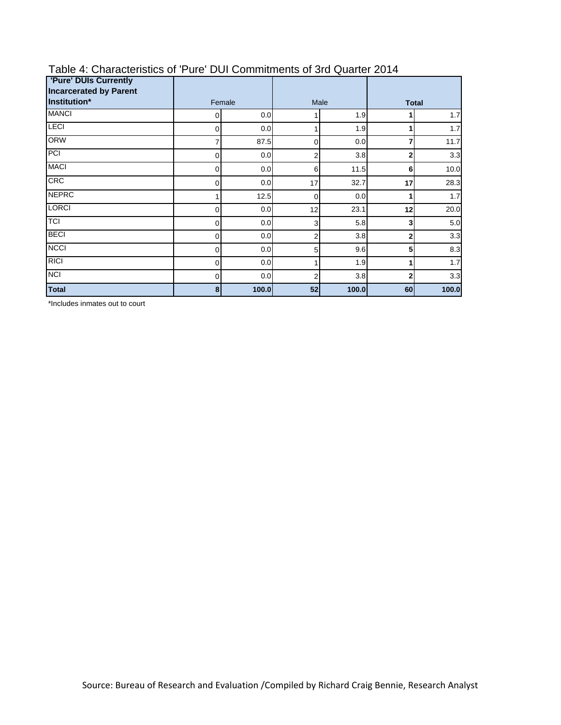| <b>'Pure' DUIs Currently</b><br><b>Incarcerated by Parent</b> |          |       |                |       |              |       |
|---------------------------------------------------------------|----------|-------|----------------|-------|--------------|-------|
| Institution*                                                  | Female   |       |                | Male  | <b>Total</b> |       |
| <b>MANCI</b>                                                  | 0.0<br>0 |       |                | 1.9   |              | 1.7   |
| <b>LECI</b>                                                   | 0        | 0.0   |                | 1.9   | 1            | 1.7   |
| <b>ORW</b>                                                    | 7        | 87.5  | $\mathbf 0$    | 0.0   | 7            | 11.7  |
| PCI                                                           | 0        | 0.0   | 2              | 3.8   | $\mathbf{2}$ | 3.3   |
| <b>MACI</b>                                                   | 0        | 0.0   | 6              | 11.5  | 6            | 10.0  |
| <b>CRC</b>                                                    | 0        | 0.0   | 17             | 32.7  | 17           | 28.3  |
| <b>NEPRC</b>                                                  |          | 12.5  | 0              | 0.0   |              | 1.7   |
| <b>LORCI</b>                                                  | 0        | 0.0   | 12             | 23.1  | 12           | 20.0  |
| <b>TCI</b>                                                    | 0        | 0.0   | 3              | 5.8   | 3            | 5.0   |
| <b>BECI</b>                                                   | 0        | 0.0   | 2              | 3.8   | 2            | 3.3   |
| <b>NCCI</b>                                                   | 0        | 0.0   | 5              | 9.6   | 5            | 8.3   |
| <b>RICI</b>                                                   | 0        | 0.0   |                | 1.9   |              | 1.7   |
| <b>NCI</b>                                                    | 0        | 0.0   | $\overline{c}$ | 3.8   | $\mathbf{2}$ | 3.3   |
| <b>Total</b>                                                  | 8        | 100.0 | 52             | 100.0 | 60           | 100.0 |

# Table 4: Characteristics of 'Pure' DUI Commitments of 3rd Quarter 2014

\*Includes inmates out to court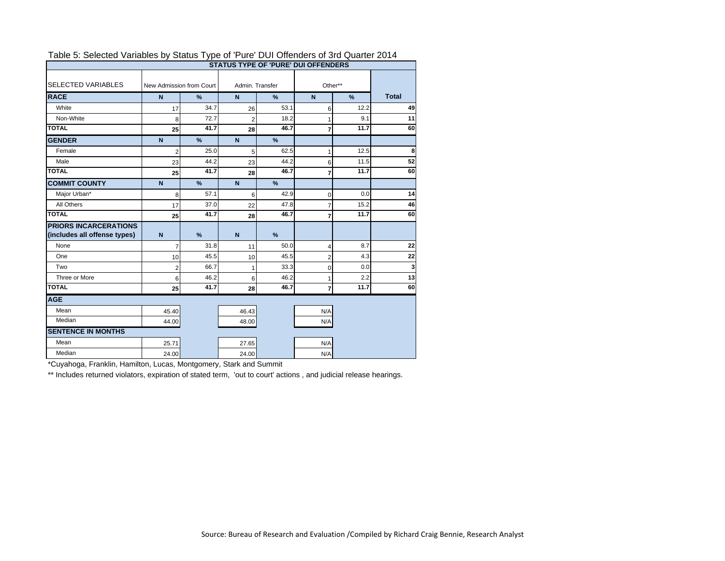|                              |                          |                                                |                 |               | <b>STATUS TYPE OF 'PURE' DUI OFFENDERS</b> |              |    |
|------------------------------|--------------------------|------------------------------------------------|-----------------|---------------|--------------------------------------------|--------------|----|
| <b>SELECTED VARIABLES</b>    | New Admission from Court |                                                | Admin, Transfer |               | Other**                                    | <b>Total</b> |    |
| <b>RACE</b>                  | $\mathbf N$              | $\frac{9}{6}$<br>$\mathsf{N}$<br>$\frac{9}{6}$ |                 | $\mathbf N$   |                                            |              |    |
| White                        | 17                       | 34.7                                           | 26              | 53.1          | 6                                          | 12.2         | 49 |
| Non-White                    | 8                        | 72.7                                           | $\overline{2}$  | 18.2          | 1                                          | 9.1          | 11 |
| <b>TOTAL</b>                 | 25                       | 41.7                                           | 28              | 46.7          | $\overline{7}$                             | 11.7         | 60 |
| <b>GENDER</b>                | $\mathbf N$              | %                                              | $\overline{N}$  | $\frac{9}{6}$ |                                            |              |    |
| Female                       | $\overline{2}$           | 25.0                                           | 5               | 62.5          | 1                                          | 12.5         | 8  |
| Male                         | 23                       | 44.2                                           | 23              | 44.2          | 6                                          | 11.5         | 52 |
| <b>TOTAL</b>                 | 25                       | 41.7                                           | 28              | 46.7          | $\overline{7}$                             | 11.7         | 60 |
| <b>COMMIT COUNTY</b>         | $\mathbf N$              | %                                              | $\mathbf N$     | %             |                                            |              |    |
| Major Urban*                 | 8                        | 57.1                                           | 6               | 42.9          | $\mathbf 0$                                | 0.0          | 14 |
| All Others                   | 17                       | 37.0                                           | 22              | 47.8          | 7                                          | 15.2         | 46 |
| <b>TOTAL</b>                 | 25                       | 41.7                                           | 28              | 46.7          | $\overline{7}$                             | 11.7         | 60 |
| <b>PRIORS INCARCERATIONS</b> |                          |                                                |                 |               |                                            |              |    |
| (includes all offense types) | $\mathbf N$              | %                                              | $\mathbf N$     | $\frac{9}{6}$ |                                            |              |    |
| None                         | $\overline{7}$           | 31.8                                           | 11              | 50.0          | 4                                          | 8.7          | 22 |
| One                          | 10                       | 45.5                                           | 10              | 45.5          | $\overline{2}$                             | 4.3          | 22 |
| Two                          | $\overline{2}$           | 66.7                                           | 1               | 33.3          | $\mathbf 0$                                | 0.0          | 3  |
| Three or More                | 6                        | 46.2                                           | 6               | 46.2          | 1                                          | 2.2          | 13 |
| <b>TOTAL</b>                 | 25                       | 41.7                                           | 28              | 46.7          | $\overline{7}$                             | 11.7         | 60 |
| <b>AGE</b>                   |                          |                                                |                 |               |                                            |              |    |
| Mean                         | 45.40                    |                                                | 46.43           |               | N/A                                        |              |    |
| Median                       | 44.00                    |                                                | 48.00           |               | N/A                                        |              |    |
| <b>SENTENCE IN MONTHS</b>    |                          |                                                |                 |               |                                            |              |    |
| Mean                         | 25.71                    |                                                | 27.65           |               | N/A                                        |              |    |
| Median                       | 24.00                    |                                                | 24.00           |               | N/A                                        |              |    |

#### Table 5: Selected Variables by Status Type of 'Pure' DUI Offenders of 3rd Quarter 2014

\*Cuyahoga, Franklin, Hamilton, Lucas, Montgomery, Stark and Summit

\*\* Includes returned violators, expiration of stated term, 'out to court' actions, and judicial release hearings.